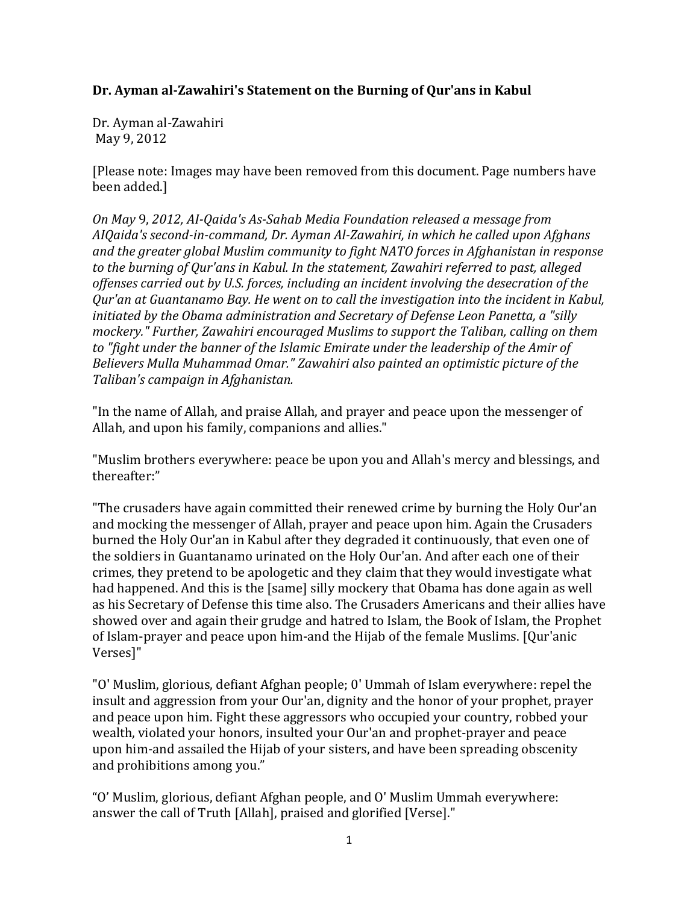## **Dr. Ayman al-Zawahiri's Statement on the Burning of Qur'ans in Kabul**

Dr. Ayman al-Zawahiri May 9, 2012

[Please note: Images may have been removed from this document. Page numbers have been added.]

*On May* 9, *2012, AI-Qaida's As-Sahab Media Foundation released a message from AIQaida's second-in-command, Dr. Ayman Al-Zawahiri, in which he called upon Afghans and the greater global Muslim community to fight NATO forces in Afghanistan in response to the burning of Qur'ans in Kabul. In the statement, Zawahiri referred to past, alleged offenses carried out by U.S. forces, including an incident involving the desecration of the Qur'an at Guantanamo Bay. He went on to call the investigation into the incident in Kabul, initiated by the Obama administration and Secretary of Defense Leon Panetta, a "silly mockery." Further, Zawahiri encouraged Muslims to support the Taliban, calling on them to "fight under the banner of the Islamic Emirate under the leadership of the Amir of Believers Mulla Muhammad Omar." Zawahiri also painted an optimistic picture of the Taliban's campaign in Afghanistan.*

"In the name of Allah, and praise Allah, and prayer and peace upon the messenger of Allah, and upon his family, companions and allies."

"Muslim brothers everywhere: peace be upon you and Allah's mercy and blessings, and thereafter:"

"The crusaders have again committed their renewed crime by burning the Holy Our'an and mocking the messenger of Allah, prayer and peace upon him. Again the Crusaders burned the Holy Our'an in Kabul after they degraded it continuously, that even one of the soldiers in Guantanamo urinated on the Holy Our'an. And after each one of their crimes, they pretend to be apologetic and they claim that they would investigate what had happened. And this is the [same] silly mockery that Obama has done again as well as his Secretary of Defense this time also. The Crusaders Americans and their allies have showed over and again their grudge and hatred to Islam, the Book of Islam, the Prophet of Islam-prayer and peace upon him-and the Hijab of the female Muslims. [Qur'anic Verses]"

"O' Muslim, glorious, defiant Afghan people; 0' Ummah of Islam everywhere: repel the insult and aggression from your Our'an, dignity and the honor of your prophet, prayer and peace upon him. Fight these aggressors who occupied your country, robbed your wealth, violated your honors, insulted your Our'an and prophet-prayer and peace upon him-and assailed the Hijab of your sisters, and have been spreading obscenity and prohibitions among you."

"O' Muslim, glorious, defiant Afghan people, and O' Muslim Ummah everywhere: answer the call of Truth [Allah], praised and glorified [Verse]."